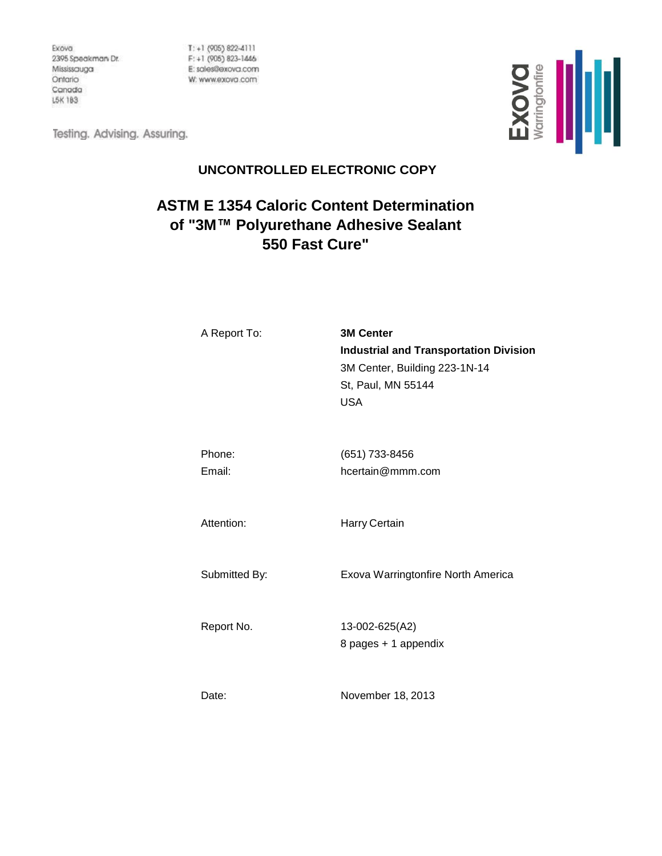Exova 2395 Speakman Dr. Mississauga Ontario Canada L5K 183

 $T: +1$  (905) 822-4111  $F: +1$  (905) 823-1446 E: sales@exova.com W: www.exova.com

Testing. Advising. Assuring.



## **UNCONTROLLED ELECTRONIC COPY**

# **ASTM E 1354 Caloric Content Determination of "3M™ Polyurethane Adhesive Sealant 550 Fast Cure"**

| A Report To:     | <b>3M Center</b><br><b>Industrial and Transportation Division</b><br>3M Center, Building 223-1N-14<br>St, Paul, MN 55144<br><b>USA</b> |
|------------------|----------------------------------------------------------------------------------------------------------------------------------------|
| Phone:<br>Email: | (651) 733-8456<br>hcertain@mmm.com                                                                                                     |
| Attention:       | Harry Certain                                                                                                                          |
| Submitted By:    | Exova Warringtonfire North America                                                                                                     |
| Report No.       | 13-002-625(A2)<br>8 pages + 1 appendix                                                                                                 |
| Date:            | November 18, 2013                                                                                                                      |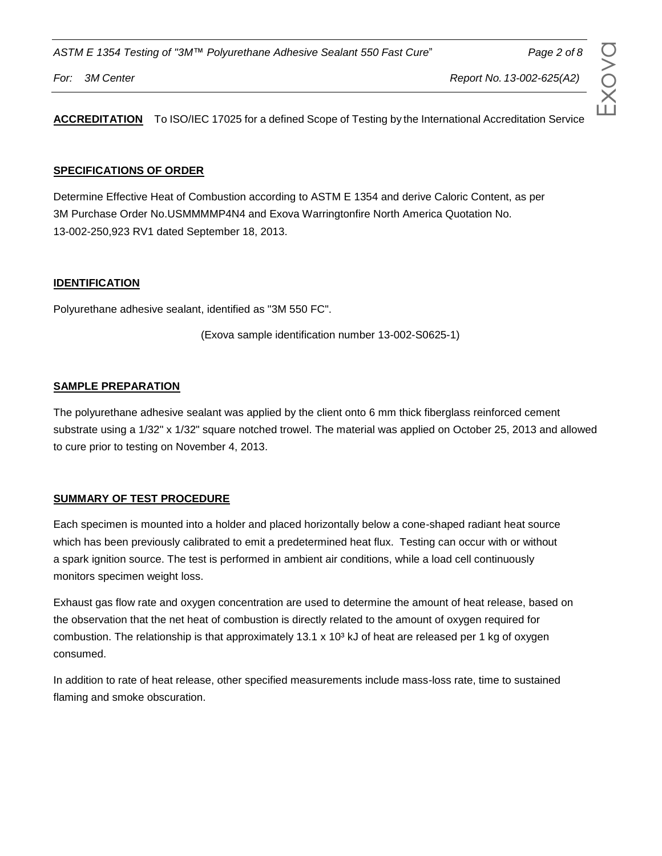*ASTM E 1354 Testing of "3M™ Polyurethane Adhesive Sealant 550 Fast Cure*" *Page 2 of 8*

**ACCREDITATION** To ISO/IEC 17025 for a defined Scope of Testing by the International Accreditation Service

## **SPECIFICATIONS OF ORDER**

Determine Effective Heat of Combustion according to ASTM E 1354 and derive Caloric Content, as per 3M Purchase Order No.USMMMMP4N4 and Exova Warringtonfire North America Quotation No. 13-002-250,923 RV1 dated September 18, 2013.

## **IDENTIFICATION**

Polyurethane adhesive sealant, identified as "3M 550 FC".

(Exova sample identification number 13-002-S0625-1)

## **SAMPLE PREPARATION**

The polyurethane adhesive sealant was applied by the client onto 6 mm thick fiberglass reinforced cement substrate using a 1/32" x 1/32" square notched trowel. The material was applied on October 25, 2013 and allowed to cure prior to testing on November 4, 2013.

## **SUMMARY OF TEST PROCEDURE**

Each specimen is mounted into a holder and placed horizontally below a cone-shaped radiant heat source which has been previously calibrated to emit a predetermined heat flux. Testing can occur with or without a spark ignition source. The test is performed in ambient air conditions, while a load cell continuously monitors specimen weight loss.

Exhaust gas flow rate and oxygen concentration are used to determine the amount of heat release, based on the observation that the net heat of combustion is directly related to the amount of oxygen required for combustion. The relationship is that approximately 13.1 x 10 $3$  kJ of heat are released per 1 kg of oxygen consumed.

In addition to rate of heat release, other specified measurements include mass-loss rate, time to sustained flaming and smoke obscuration.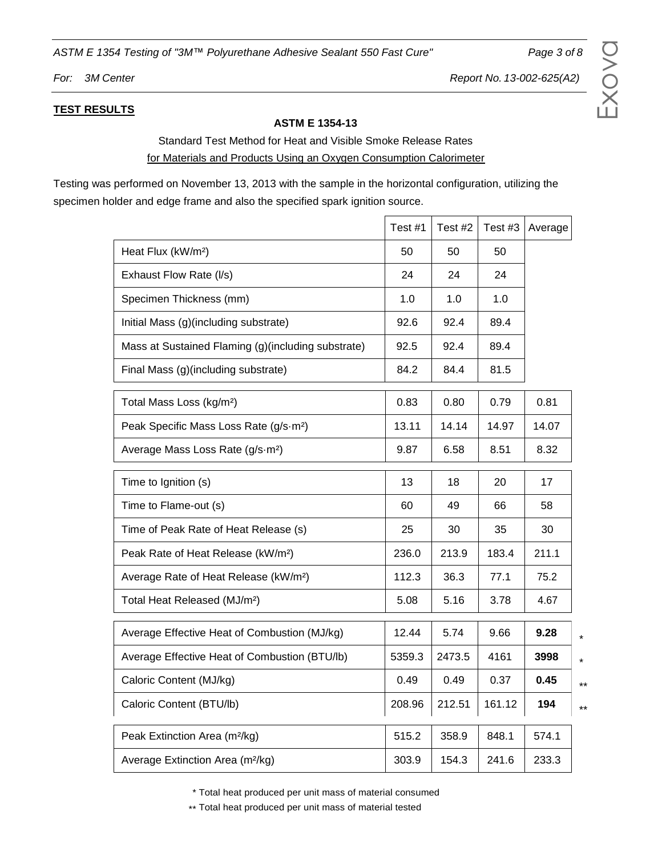$ASTM E 1354$  Testing of "3M™ Polyurethane Adhesive Sealant 550 Fast Cure" *For: 3M Center Report No. 13-002-625(A2)*

## **TEST RESULTS**

### **ASTM E 1354-13**

Standard Test Method for Heat and Visible Smoke Release Rates for Materials and Products Using an Oxygen Consumption Calorimeter

Testing was performed on November 13, 2013 with the sample in the horizontal configuration, utilizing the specimen holder and edge frame and also the specified spark ignition source.

|                                                    | Test #1 | Test #2 | Test #3 | Average |
|----------------------------------------------------|---------|---------|---------|---------|
| Heat Flux (kW/m <sup>2</sup> )                     | 50      | 50      | 50      |         |
| Exhaust Flow Rate (I/s)                            | 24      | 24      | 24      |         |
| Specimen Thickness (mm)                            | 1.0     | 1.0     | 1.0     |         |
| Initial Mass (g)(including substrate)              | 92.6    | 92.4    | 89.4    |         |
| Mass at Sustained Flaming (g)(including substrate) | 92.5    | 92.4    | 89.4    |         |
| Final Mass (g)(including substrate)                | 84.2    | 84.4    | 81.5    |         |
| Total Mass Loss (kg/m <sup>2</sup> )               | 0.83    | 0.80    | 0.79    | 0.81    |
| Peak Specific Mass Loss Rate (g/s·m <sup>2</sup> ) | 13.11   | 14.14   | 14.97   | 14.07   |
| Average Mass Loss Rate (g/s·m <sup>2</sup> )       | 9.87    | 6.58    | 8.51    | 8.32    |
| Time to Ignition (s)                               | 13      | 18      | 20      | 17      |
| Time to Flame-out (s)                              | 60      | 49      | 66      | 58      |
| Time of Peak Rate of Heat Release (s)              | 25      | 30      | 35      | 30      |
| Peak Rate of Heat Release (kW/m <sup>2</sup> )     | 236.0   | 213.9   | 183.4   | 211.1   |
| Average Rate of Heat Release (kW/m <sup>2</sup> )  | 112.3   | 36.3    | 77.1    | 75.2    |
| Total Heat Released (MJ/m <sup>2</sup> )           | 5.08    | 5.16    | 3.78    | 4.67    |
| Average Effective Heat of Combustion (MJ/kg)       | 12.44   | 5.74    | 9.66    | 9.28    |
| Average Effective Heat of Combustion (BTU/lb)      | 5359.3  | 2473.5  | 4161    | 3998    |
| Caloric Content (MJ/kg)                            | 0.49    | 0.49    | 0.37    | 0.45    |
| Caloric Content (BTU/lb)                           | 208.96  | 212.51  | 161.12  | 194     |
| Peak Extinction Area (m <sup>2</sup> /kg)          | 515.2   | 358.9   | 848.1   | 574.1   |
| Average Extinction Area (m <sup>2</sup> /kg)       | 303.9   | 154.3   | 241.6   | 233.3   |

E $\times$ o $\gt$  $\bf{C}$ 

\*

\* \*\*

\*\*

\* Total heat produced per unit mass of material consumed

\*\* Total heat produced per unit mass of material tested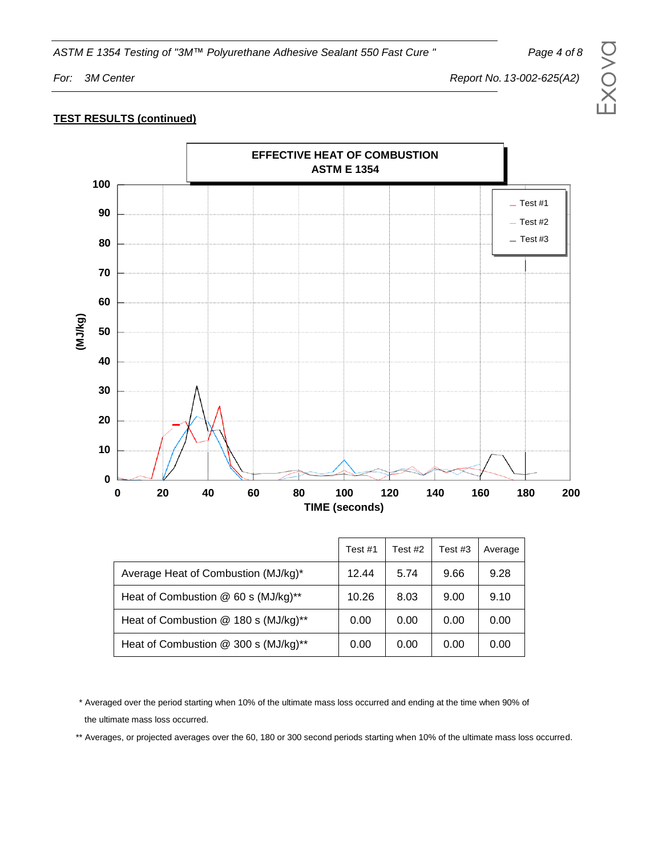*ASTM E 1354 Testing of "3M™ Polyurethane Adhesive Sealant 550 Fast Cure " Page 4 of 8*

*For: 3M Center Report No. 13-002-625(A2)*

## E $\times$ o $\gt$  $\bf{C}$

## **TEST RESULTS (continued)**



|                                      | Test #1 | Test #2 | Test #3 | Average |
|--------------------------------------|---------|---------|---------|---------|
| Average Heat of Combustion (MJ/kg)*  | 12.44   | 5.74    | 9.66    | 9.28    |
| Heat of Combustion @ 60 s (MJ/kg)**  | 10.26   | 8.03    | 9.00    | 9.10    |
| Heat of Combustion @ 180 s (MJ/kg)** | 0.00    | 0.00    | 0.00    | 0.00    |
| Heat of Combustion @ 300 s (MJ/kg)** | 0.00    | 0.00    | 0.00    | 0.00    |

\* Averaged over the period starting when 10% of the ultimate mass loss occurred and ending at the time when 90% of the ultimate mass loss occurred.

\*\* Averages, or projected averages over the 60, 180 or 300 second periods starting when 10% of the ultimate mass loss occurred.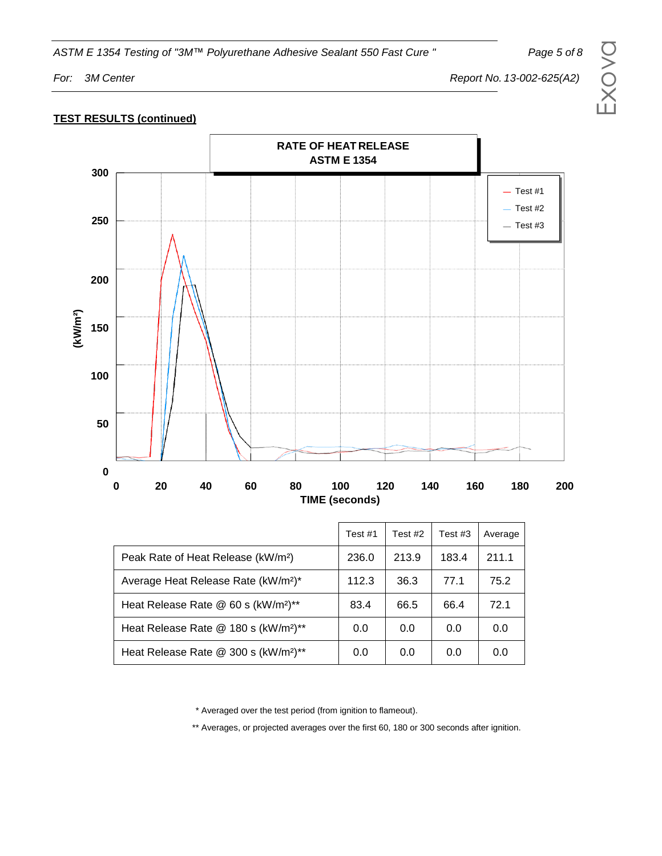*ASTM E 1354 Testing of "3M™ Polyurethane Adhesive Sealant 550 Fast Cure " Page 5 of 8*

*For: 3M Center Report No. 13-002-625(A2)*

## **TEST RESULTS (continued)**



|                                                             | Test #1 | Test $#2$ | Test #3 | Average |
|-------------------------------------------------------------|---------|-----------|---------|---------|
| Peak Rate of Heat Release (kW/m <sup>2</sup> )              | 236.0   | 213.9     | 183.4   | 211.1   |
| Average Heat Release Rate (kW/m <sup>2</sup> ) <sup>*</sup> | 112.3   | 36.3      | 77.1    | 75.2    |
| Heat Release Rate @ 60 s (kW/m <sup>2</sup> )**             | 83.4    | 66.5      | 66.4    | 72.1    |
| Heat Release Rate @ 180 s (kW/m <sup>2</sup> )**            | 0.0     | 0.0       | 0.0     | 0.0     |
| Heat Release Rate @ 300 s (kW/m <sup>2</sup> )**            | 0.0     | 0.0       | 0.0     | 0.0     |

\* Averaged over the test period (from ignition to flameout).

\*\* Averages, or projected averages over the first 60, 180 or 300 seconds after ignition.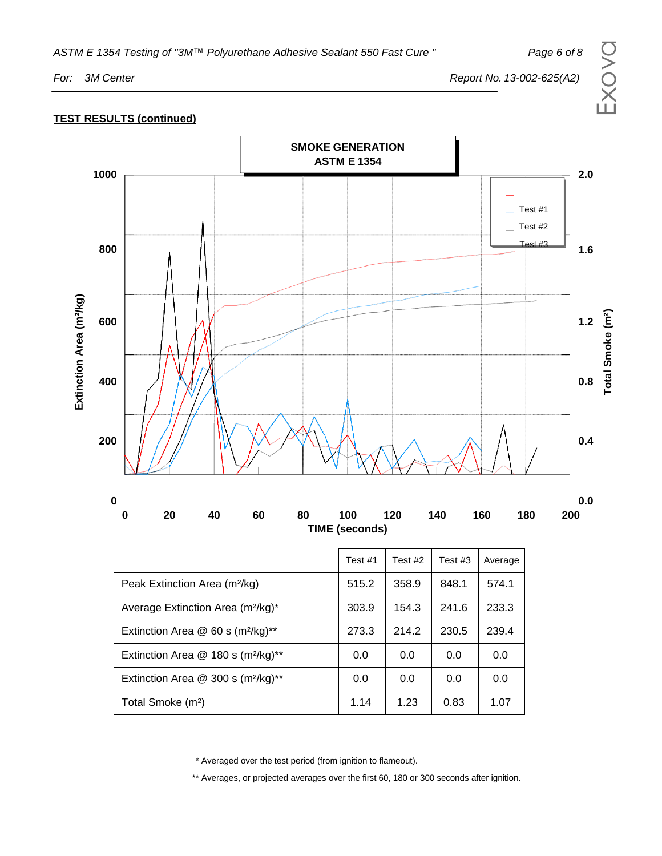*ASTM E 1354 Testing of "3M™ Polyurethane Adhesive Sealant 550 Fast Cure " Page 6 of 8*

*For: 3M Center Report No. 13-002-625(A2)*

## **TEST RESULTS (continued)**



|                                                              | Test #1 | Test $#2$ | Test #3 | Average |
|--------------------------------------------------------------|---------|-----------|---------|---------|
| Peak Extinction Area (m <sup>2</sup> /kg)                    | 515.2   | 358.9     | 848.1   | 574.1   |
| Average Extinction Area (m <sup>2</sup> /kg)*                | 303.9   | 154.3     | 241.6   | 233.3   |
| Extinction Area $@$ 60 s (m <sup>2</sup> /kg) <sup>**</sup>  | 273.3   | 214.2     | 230.5   | 239.4   |
| Extinction Area $@$ 180 s (m <sup>2</sup> /kg) <sup>**</sup> | 0.0     | 0.0       | 0.0     | 0.0     |
| Extinction Area $@$ 300 s (m <sup>2</sup> /kg) <sup>**</sup> | 0.0     | 0.0       | 0.0     | 0.0     |
| Total Smoke (m <sup>2</sup> )                                | 1.14    | 1.23      | 0.83    | 1.07    |

\* Averaged over the test period (from ignition to flameout).

\*\* Averages, or projected averages over the first 60, 180 or 300 seconds after ignition.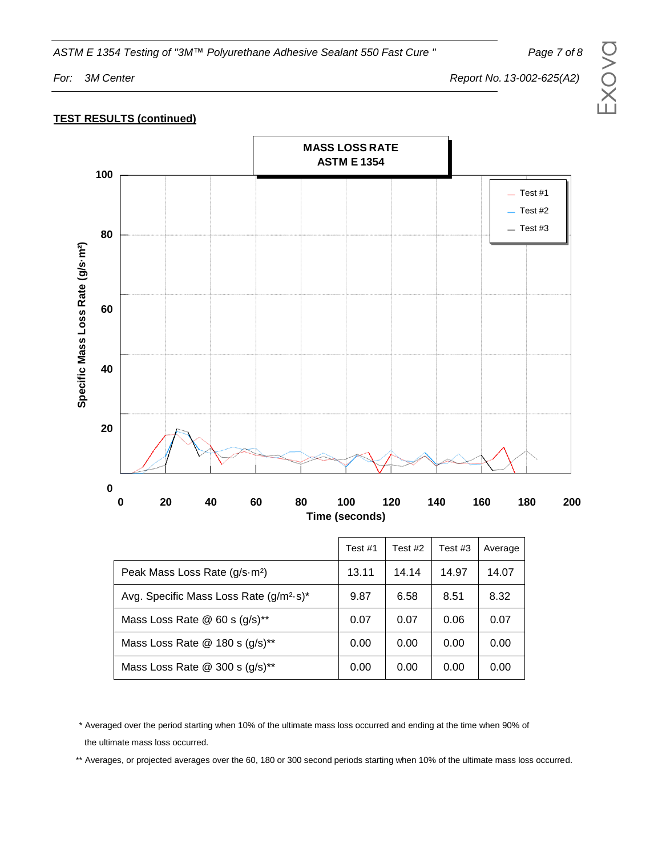*ASTM E 1354 Testing of "3M™ Polyurethane Adhesive Sealant 550 Fast Cure " Page 7 of 8*

*For: 3M Center Report No. 13-002-625(A2)*

## **TEST RESULTS (continued)**



|                                                     | Test #1 | Test #2 | Test #3 | Average |
|-----------------------------------------------------|---------|---------|---------|---------|
| Peak Mass Loss Rate (g/s·m <sup>2</sup> )           | 13.11   | 14.14   | 14.97   | 14.07   |
| Avg. Specific Mass Loss Rate (g/m <sup>2</sup> ·s)* | 9.87    | 6.58    | 8.51    | 8.32    |
| Mass Loss Rate $@$ 60 s $(g/s)^{**}$                | 0.07    | 0.07    | 0.06    | 0.07    |
| Mass Loss Rate $@$ 180 s $(g/s)^{**}$               | 0.00    | 0.00    | 0.00    | 0.00    |
| Mass Loss Rate $@$ 300 s $(g/s)^{**}$               | 0.00    | 0.00    | 0.00    | 0.00    |

\* Averaged over the period starting when 10% of the ultimate mass loss occurred and ending at the time when 90% of the ultimate mass loss occurred.

\*\* Averages, or projected averages over the 60, 180 or 300 second periods starting when 10% of the ultimate mass loss occurred.

 $\sqcup$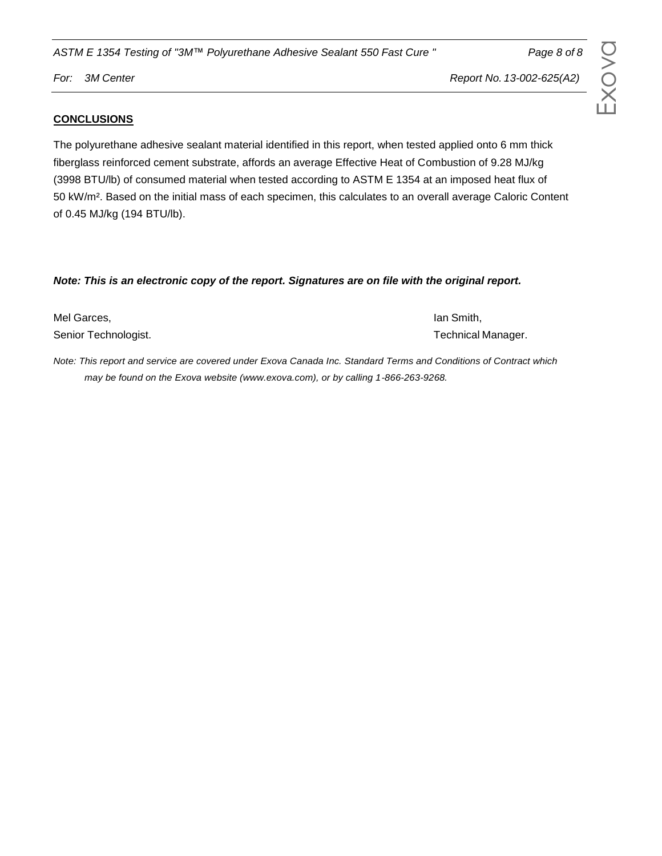*ASTM E 1354 Testing of "3M™ Polyurethane Adhesive Sealant 550 Fast Cure " Page 8 of 8*

*For: 3M Center Report No. 13-002-625(A2)*

## **CONCLUSIONS**

The polyurethane adhesive sealant material identified in this report, when tested applied onto 6 mm thick fiberglass reinforced cement substrate, affords an average Effective Heat of Combustion of 9.28 MJ/kg (3998 BTU/lb) of consumed material when tested according to ASTM E 1354 at an imposed heat flux of 50 kW/m². Based on the initial mass of each specimen, this calculates to an overall average Caloric Content of 0.45 MJ/kg (194 BTU/lb).

## *Note: This is an electronic copy of the report. Signatures are on file with the original report.*

Mel Garces, **Ian Smith, Ian Smith, Ian Smith, Ian Smith, Ian Smith, Ian Smith, Ian Smith, Ian Smith, Ian Smith, I** Senior Technologist. The contract of the contract of the contract of the contract of the contract of the contract of the contract of the contract of the contract of the contract of the contract of the contract of the contr

*Note: This report and service are covered under Exova Canada Inc. Standard Terms and Conditions of Contract which may be found on the Exova website (www.exova.com), or by calling 1-866-263-9268.*

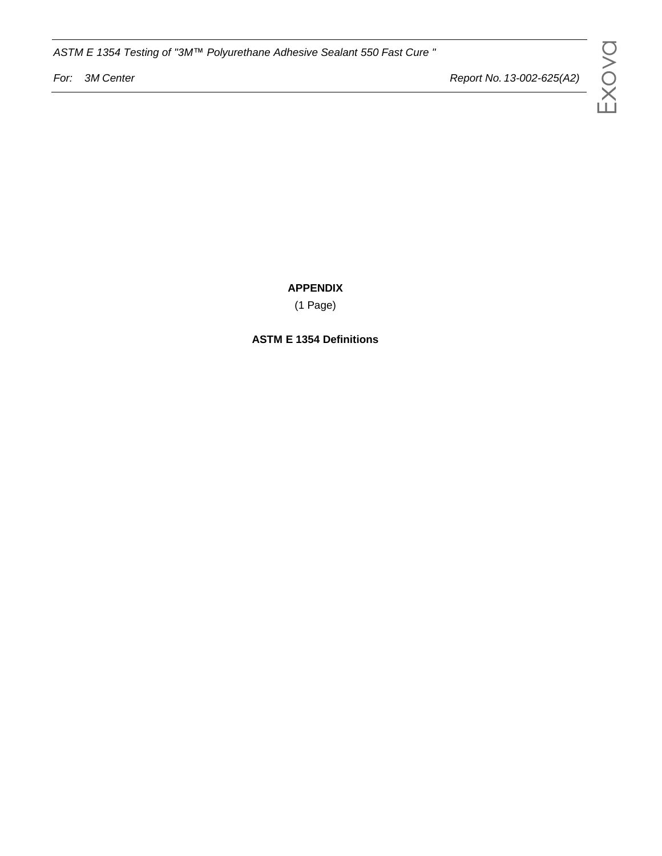*ASTM E 1354 Testing of "3M™ Polyurethane Adhesive Sealant 550 Fast Cure "*

*For: 3M Center Report No. 13-002-625(A2)*

**APPENDIX**

(1 Page)

**ASTM E 1354 Definitions**